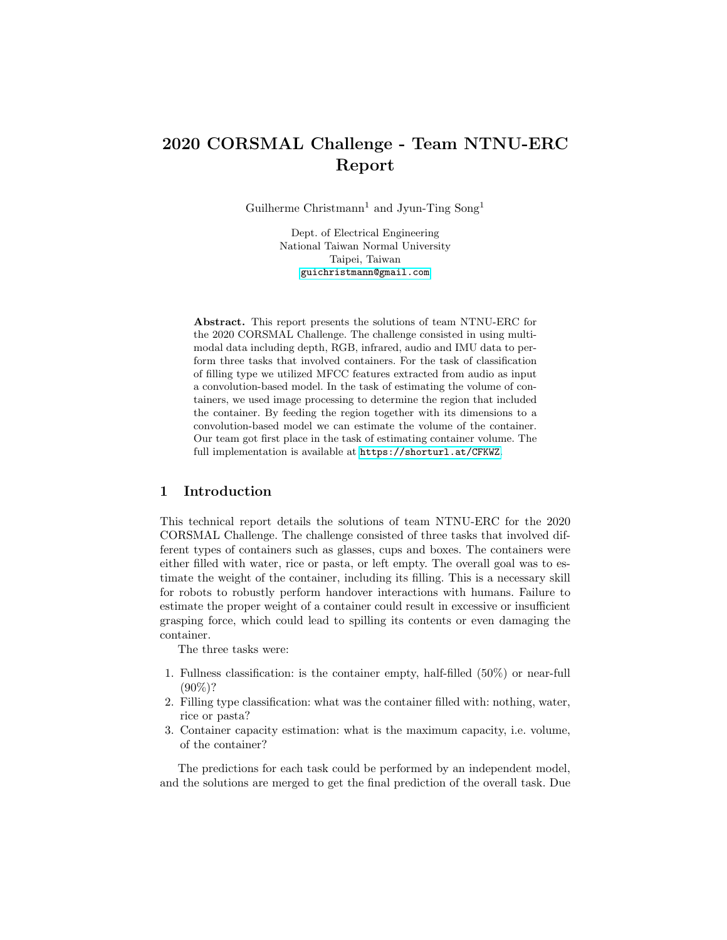# 2020 CORSMAL Challenge - Team NTNU-ERC Report

Guilherme Christmann<sup>1</sup> and Jyun-Ting Song<sup>1</sup>

Dept. of Electrical Engineering National Taiwan Normal University Taipei, Taiwan <guichristmann@gmail.com>

Abstract. This report presents the solutions of team NTNU-ERC for the 2020 CORSMAL Challenge. The challenge consisted in using multimodal data including depth, RGB, infrared, audio and IMU data to perform three tasks that involved containers. For the task of classification of filling type we utilized MFCC features extracted from audio as input a convolution-based model. In the task of estimating the volume of containers, we used image processing to determine the region that included the container. By feeding the region together with its dimensions to a convolution-based model we can estimate the volume of the container. Our team got first place in the task of estimating container volume. The full implementation is available at <https://shorturl.at/CFKWZ>.

# 1 Introduction

This technical report details the solutions of team NTNU-ERC for the 2020 CORSMAL Challenge. The challenge consisted of three tasks that involved different types of containers such as glasses, cups and boxes. The containers were either filled with water, rice or pasta, or left empty. The overall goal was to estimate the weight of the container, including its filling. This is a necessary skill for robots to robustly perform handover interactions with humans. Failure to estimate the proper weight of a container could result in excessive or insufficient grasping force, which could lead to spilling its contents or even damaging the container.

The three tasks were:

- 1. Fullness classification: is the container empty, half-filled (50%) or near-full  $(90\%)$ ?
- 2. Filling type classification: what was the container filled with: nothing, water, rice or pasta?
- 3. Container capacity estimation: what is the maximum capacity, i.e. volume, of the container?

The predictions for each task could be performed by an independent model, and the solutions are merged to get the final prediction of the overall task. Due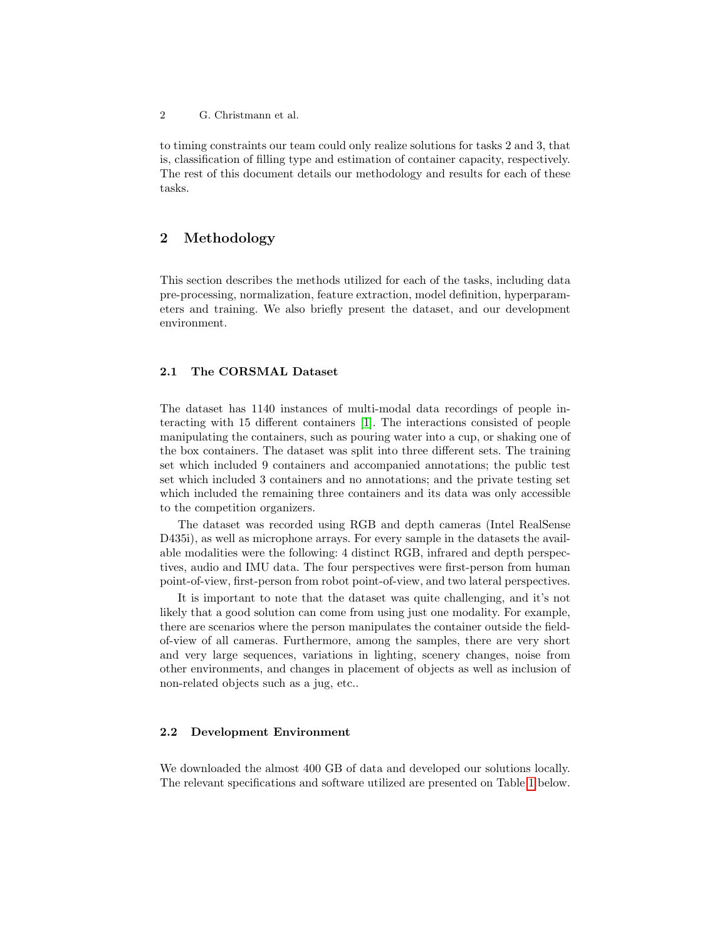2 G. Christmann et al.

to timing constraints our team could only realize solutions for tasks 2 and 3, that is, classification of filling type and estimation of container capacity, respectively. The rest of this document details our methodology and results for each of these tasks.

# 2 Methodology

This section describes the methods utilized for each of the tasks, including data pre-processing, normalization, feature extraction, model definition, hyperparameters and training. We also briefly present the dataset, and our development environment.

### <span id="page-1-0"></span>2.1 The CORSMAL Dataset

The dataset has 1140 instances of multi-modal data recordings of people interacting with 15 different containers [\[1\]](#page-8-0). The interactions consisted of people manipulating the containers, such as pouring water into a cup, or shaking one of the box containers. The dataset was split into three different sets. The training set which included 9 containers and accompanied annotations; the public test set which included 3 containers and no annotations; and the private testing set which included the remaining three containers and its data was only accessible to the competition organizers.

The dataset was recorded using RGB and depth cameras (Intel RealSense D435i), as well as microphone arrays. For every sample in the datasets the available modalities were the following: 4 distinct RGB, infrared and depth perspectives, audio and IMU data. The four perspectives were first-person from human point-of-view, first-person from robot point-of-view, and two lateral perspectives.

It is important to note that the dataset was quite challenging, and it's not likely that a good solution can come from using just one modality. For example, there are scenarios where the person manipulates the container outside the fieldof-view of all cameras. Furthermore, among the samples, there are very short and very large sequences, variations in lighting, scenery changes, noise from other environments, and changes in placement of objects as well as inclusion of non-related objects such as a jug, etc..

#### <span id="page-1-1"></span>2.2 Development Environment

We downloaded the almost 400 GB of data and developed our solutions locally. The relevant specifications and software utilized are presented on Table [1](#page-2-0) below.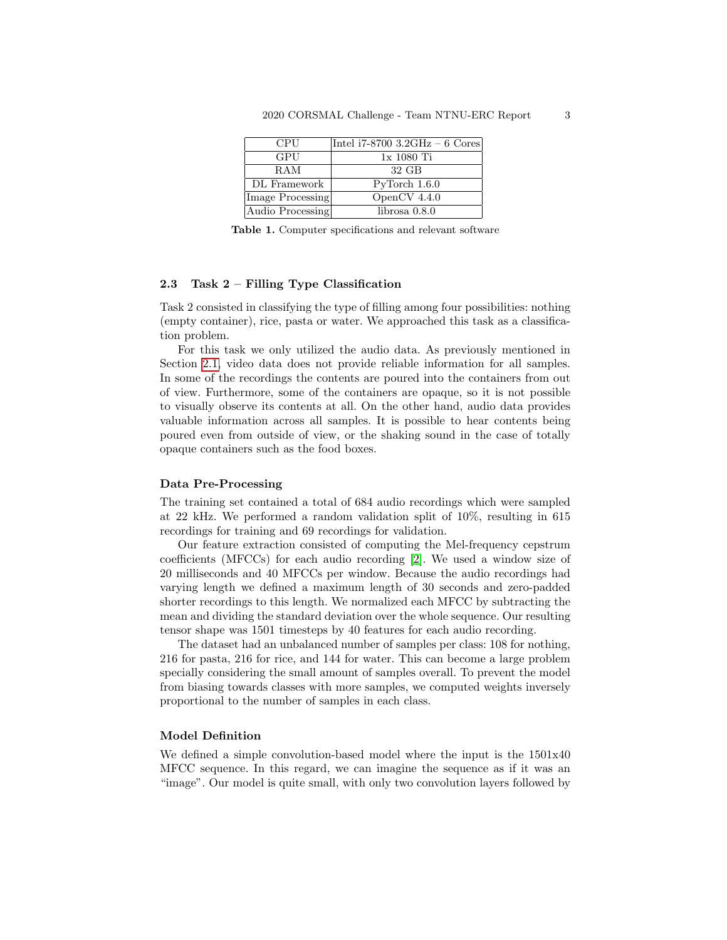<span id="page-2-0"></span>

| <b>CPU</b>       | Intel $i7-8700$ 3.2GHz - 6 Cores |
|------------------|----------------------------------|
| GPU              | 1x 1080 Ti                       |
| <b>RAM</b>       | $32 \text{ GB}$                  |
| DL Framework     | PvTorch 1.6.0                    |
| Image Processing | OpenCV $4.4.0$                   |
| Audio Processing | $librosa\;0.8.0$                 |

Table 1. Computer specifications and relevant software

#### 2.3 Task 2 – Filling Type Classification

Task 2 consisted in classifying the type of filling among four possibilities: nothing (empty container), rice, pasta or water. We approached this task as a classification problem.

For this task we only utilized the audio data. As previously mentioned in Section [2.1,](#page-1-0) video data does not provide reliable information for all samples. In some of the recordings the contents are poured into the containers from out of view. Furthermore, some of the containers are opaque, so it is not possible to visually observe its contents at all. On the other hand, audio data provides valuable information across all samples. It is possible to hear contents being poured even from outside of view, or the shaking sound in the case of totally opaque containers such as the food boxes.

### Data Pre-Processing

The training set contained a total of 684 audio recordings which were sampled at 22 kHz. We performed a random validation split of 10%, resulting in 615 recordings for training and 69 recordings for validation.

Our feature extraction consisted of computing the Mel-frequency cepstrum coefficients (MFCCs) for each audio recording [\[2\]](#page-8-1). We used a window size of 20 milliseconds and 40 MFCCs per window. Because the audio recordings had varying length we defined a maximum length of 30 seconds and zero-padded shorter recordings to this length. We normalized each MFCC by subtracting the mean and dividing the standard deviation over the whole sequence. Our resulting tensor shape was 1501 timesteps by 40 features for each audio recording.

The dataset had an unbalanced number of samples per class: 108 for nothing, 216 for pasta, 216 for rice, and 144 for water. This can become a large problem specially considering the small amount of samples overall. To prevent the model from biasing towards classes with more samples, we computed weights inversely proportional to the number of samples in each class.

### Model Definition

We defined a simple convolution-based model where the input is the 1501x40 MFCC sequence. In this regard, we can imagine the sequence as if it was an "image". Our model is quite small, with only two convolution layers followed by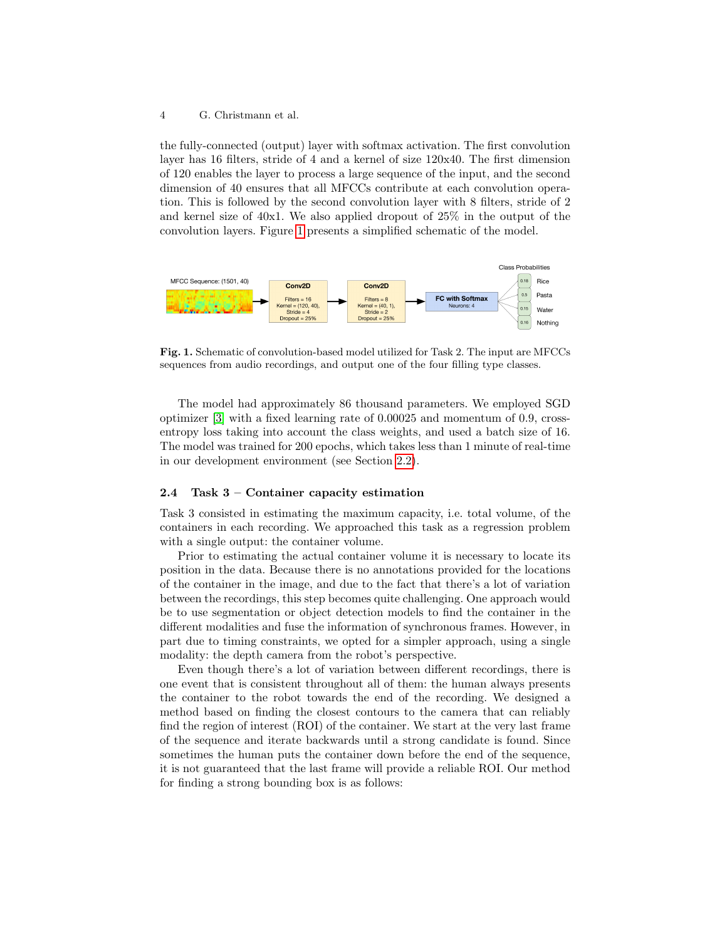#### 4 G. Christmann et al.

the fully-connected (output) layer with softmax activation. The first convolution layer has 16 filters, stride of 4 and a kernel of size 120x40. The first dimension of 120 enables the layer to process a large sequence of the input, and the second dimension of 40 ensures that all MFCCs contribute at each convolution operation. This is followed by the second convolution layer with 8 filters, stride of 2 and kernel size of 40x1. We also applied dropout of 25% in the output of the convolution layers. Figure [1](#page-3-0) presents a simplified schematic of the model.



<span id="page-3-0"></span>Fig. 1. Schematic of convolution-based model utilized for Task 2. The input are MFCCs sequences from audio recordings, and output one of the four filling type classes.

The model had approximately 86 thousand parameters. We employed SGD optimizer [\[3\]](#page-8-2) with a fixed learning rate of 0.00025 and momentum of 0.9, crossentropy loss taking into account the class weights, and used a batch size of 16. The model was trained for 200 epochs, which takes less than 1 minute of real-time in our development environment (see Section [2.2\)](#page-1-1).

### 2.4 Task 3 – Container capacity estimation

Task 3 consisted in estimating the maximum capacity, i.e. total volume, of the containers in each recording. We approached this task as a regression problem with a single output: the container volume.

Prior to estimating the actual container volume it is necessary to locate its position in the data. Because there is no annotations provided for the locations of the container in the image, and due to the fact that there's a lot of variation between the recordings, this step becomes quite challenging. One approach would be to use segmentation or object detection models to find the container in the different modalities and fuse the information of synchronous frames. However, in part due to timing constraints, we opted for a simpler approach, using a single modality: the depth camera from the robot's perspective.

Even though there's a lot of variation between different recordings, there is one event that is consistent throughout all of them: the human always presents the container to the robot towards the end of the recording. We designed a method based on finding the closest contours to the camera that can reliably find the region of interest (ROI) of the container. We start at the very last frame of the sequence and iterate backwards until a strong candidate is found. Since sometimes the human puts the container down before the end of the sequence, it is not guaranteed that the last frame will provide a reliable ROI. Our method for finding a strong bounding box is as follows: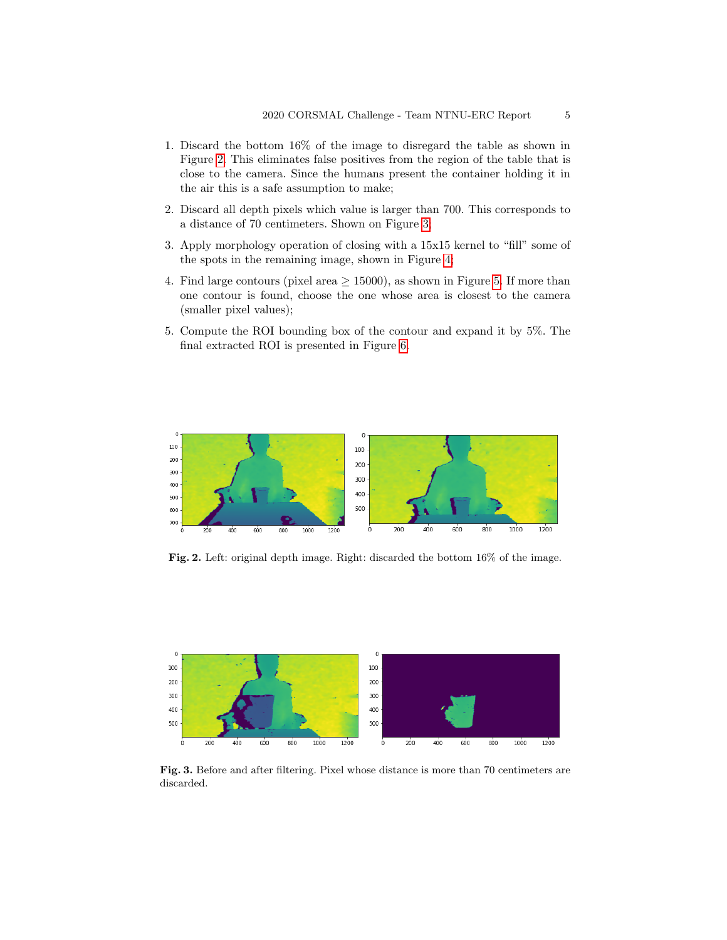- 1. Discard the bottom 16% of the image to disregard the table as shown in Figure [2.](#page-4-0) This eliminates false positives from the region of the table that is close to the camera. Since the humans present the container holding it in the air this is a safe assumption to make;
- 2. Discard all depth pixels which value is larger than 700. This corresponds to a distance of 70 centimeters. Shown on Figure [3;](#page-4-1)
- 3. Apply morphology operation of closing with a 15x15 kernel to "fill" some of the spots in the remaining image, shown in Figure [4;](#page-5-0)
- 4. Find large contours (pixel area  $\geq$  15000), as shown in Figure [5.](#page-5-1) If more than one contour is found, choose the one whose area is closest to the camera (smaller pixel values);
- 5. Compute the ROI bounding box of the contour and expand it by 5%. The final extracted ROI is presented in Figure [6.](#page-6-0)



<span id="page-4-0"></span>Fig. 2. Left: original depth image. Right: discarded the bottom 16% of the image.



<span id="page-4-1"></span>Fig. 3. Before and after filtering. Pixel whose distance is more than 70 centimeters are discarded.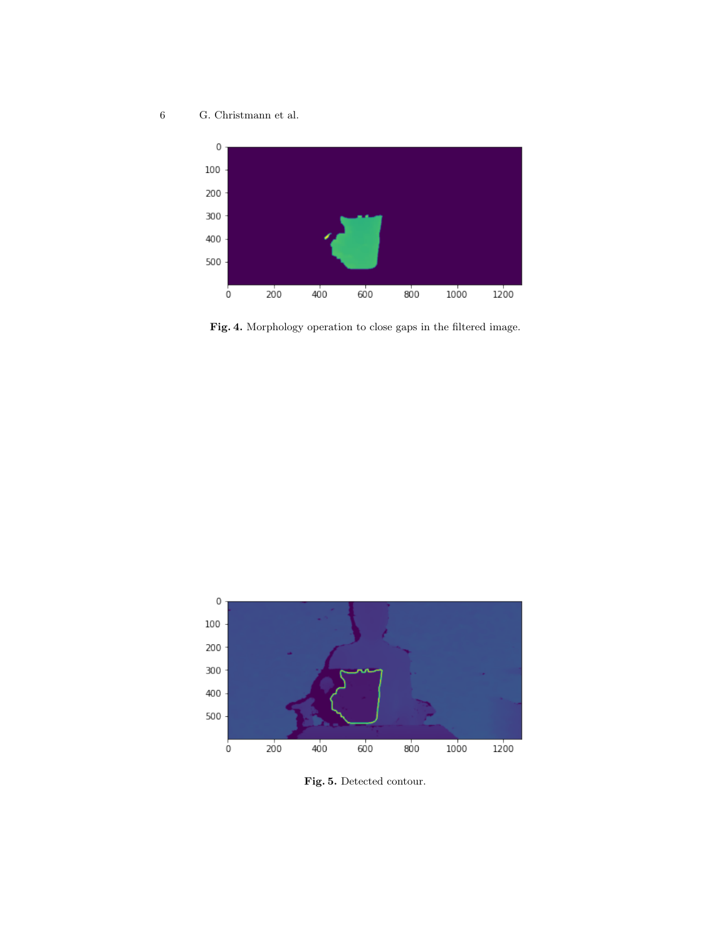6 G. Christmann et al.



<span id="page-5-0"></span>Fig. 4. Morphology operation to close gaps in the filtered image.



<span id="page-5-1"></span>Fig. 5. Detected contour.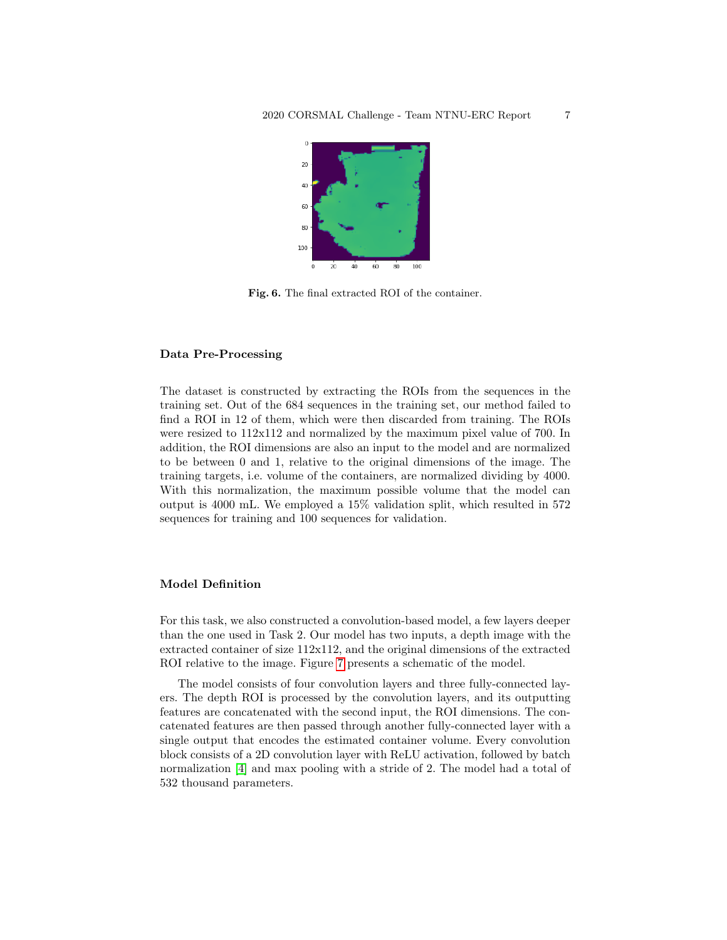

<span id="page-6-0"></span>Fig. 6. The final extracted ROI of the container.

### Data Pre-Processing

The dataset is constructed by extracting the ROIs from the sequences in the training set. Out of the 684 sequences in the training set, our method failed to find a ROI in 12 of them, which were then discarded from training. The ROIs were resized to 112x112 and normalized by the maximum pixel value of 700. In addition, the ROI dimensions are also an input to the model and are normalized to be between 0 and 1, relative to the original dimensions of the image. The training targets, i.e. volume of the containers, are normalized dividing by 4000. With this normalization, the maximum possible volume that the model can output is 4000 mL. We employed a 15% validation split, which resulted in 572 sequences for training and 100 sequences for validation.

### Model Definition

For this task, we also constructed a convolution-based model, a few layers deeper than the one used in Task 2. Our model has two inputs, a depth image with the extracted container of size 112x112, and the original dimensions of the extracted ROI relative to the image. Figure [7](#page-7-0) presents a schematic of the model.

The model consists of four convolution layers and three fully-connected layers. The depth ROI is processed by the convolution layers, and its outputting features are concatenated with the second input, the ROI dimensions. The concatenated features are then passed through another fully-connected layer with a single output that encodes the estimated container volume. Every convolution block consists of a 2D convolution layer with ReLU activation, followed by batch normalization [\[4\]](#page-8-3) and max pooling with a stride of 2. The model had a total of 532 thousand parameters.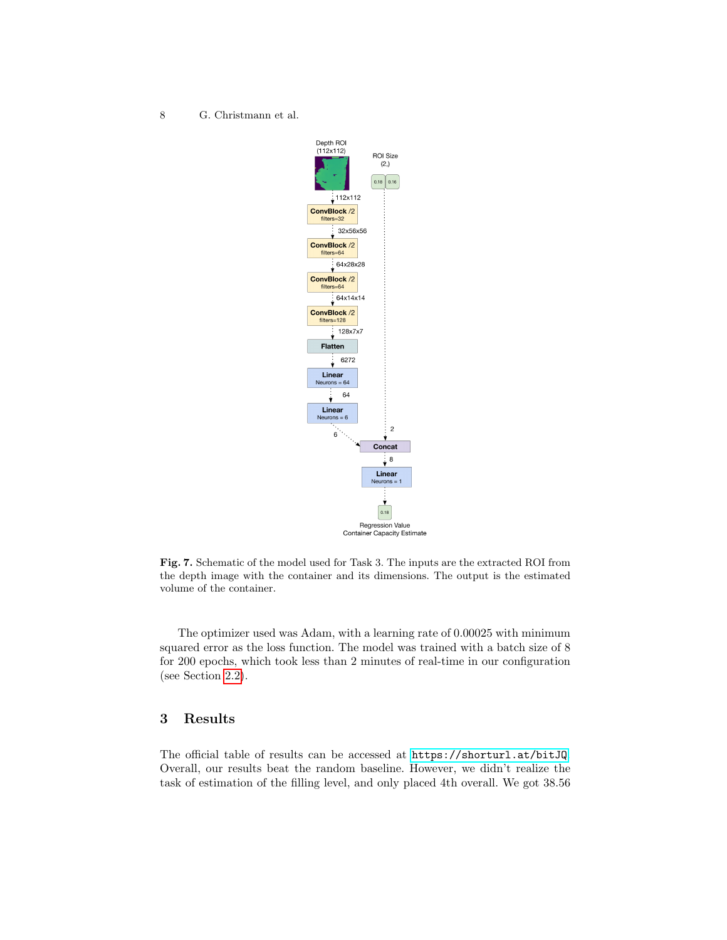8 G. Christmann et al.



<span id="page-7-0"></span>Fig. 7. Schematic of the model used for Task 3. The inputs are the extracted ROI from the depth image with the container and its dimensions. The output is the estimated volume of the container.

The optimizer used was Adam, with a learning rate of 0.00025 with minimum squared error as the loss function. The model was trained with a batch size of 8 for 200 epochs, which took less than 2 minutes of real-time in our configuration (see Section [2.2\)](#page-1-1).

# 3 Results

The official table of results can be accessed at <https://shorturl.at/bitJQ>. Overall, our results beat the random baseline. However, we didn't realize the task of estimation of the filling level, and only placed 4th overall. We got 38.56